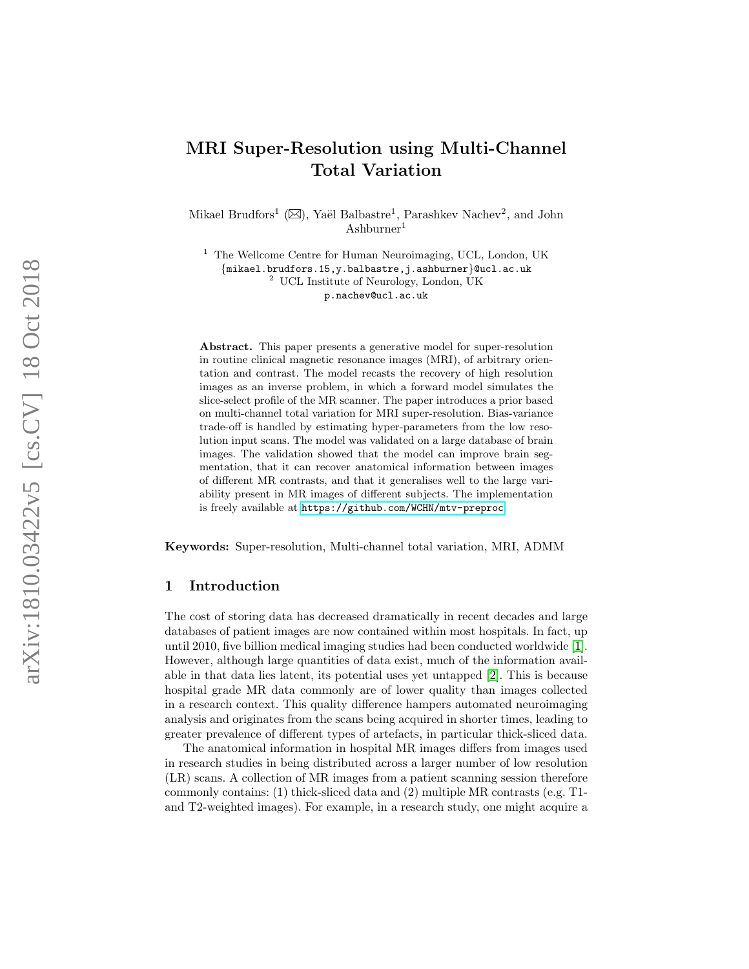# MRI Super-Resolution using Multi-Channel Total Variation

Mikael Brudfors<sup>1</sup> ( $\boxtimes$ ), Yaël Balbastre<sup>1</sup>, Parashkev Nachev<sup>2</sup>, and John Ashburner 1

 $1$  The Wellcome Centre for Human Neuroimaging, UCL, London, UK {mikael.brudfors.15,y.balbastre,j.ashburner}@ucl.ac.uk <sup>2</sup> UCL Institute of Neurology, London, UK p.nachev@ucl.ac.uk

Abstract. This paper presents a generative model for super-resolution in routine clinical magnetic resonance images (MRI), of arbitrary orientation and contrast. The model recasts the recovery of high resolution images as an inverse problem, in which a forward model simulates the slice-select profile of the MR scanner. The paper introduces a prior based on multi-channel total variation for MRI super-resolution. Bias-variance trade-off is handled by estimating hyper-parameters from the low resolution input scans. The model was validated on a large database of brain images. The validation showed that the model can improve brain segmentation, that it can recover anatomical information between images of different MR contrasts, and that it generalises well to the large variability present in MR images of different subjects. The implementation is freely available at <https://github.com/WCHN/mtv-preproc> .

Keywords: Super-resolution, Multi-channel total variation, MRI, ADMM

# 1 Introduction

The cost of storing data has decreased dramatically in recent decades and large databases of patient images are now contained within most hospitals. In fact, up until 2010, five billion medical imaging studies had been conducted worldwide [\[1\]](#page-11-0). However, although large quantities of data exist, much of the information available in that data lies latent, its potential uses yet untapped [\[2\]](#page-11-1). This is because hospital grade MR data commonly are of lower quality than images collected in a research context. This quality difference hampers automated neuroimaging analysis and originates from the scans being acquired in shorter times, leading to greater prevalence of different types of artefacts, in particular thick-sliced data.

The anatomical information in hospital MR images differs from images used in research studies in being distributed across a larger number of low resolution (LR) scans. A collection of MR images from a patient scanning session therefore commonly contains: (1) thick-sliced data and (2) multiple MR contrasts (e.g. T1 and T2-weighted images). For example, in a research study, one might acquire a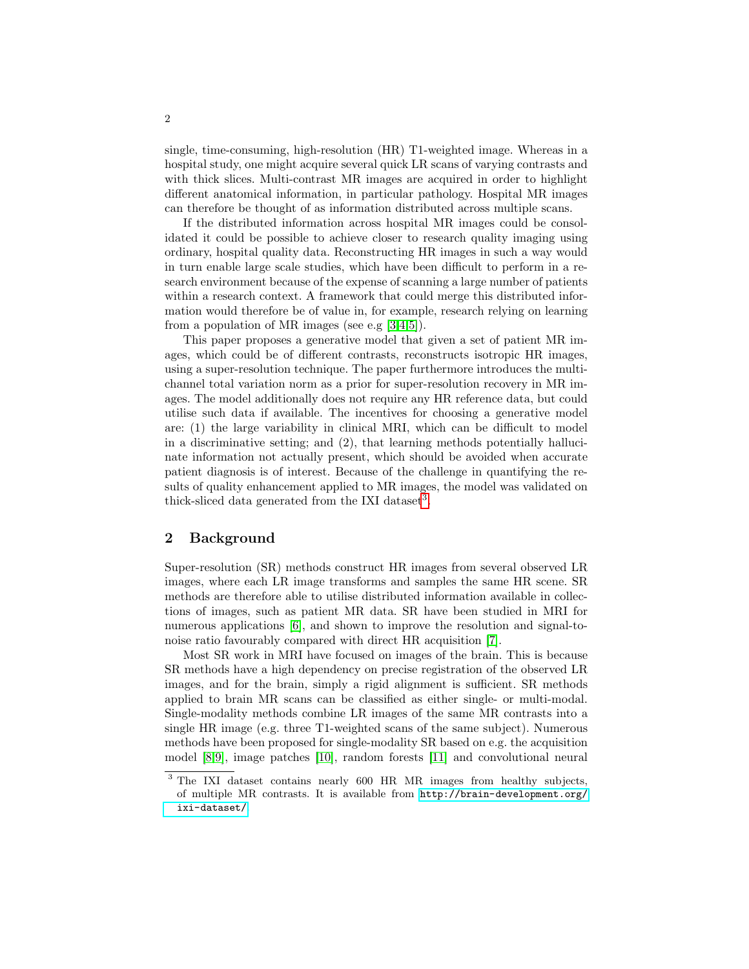single, time-consuming, high-resolution (HR) T1-weighted image. Whereas in a hospital study, one might acquire several quick LR scans of varying contrasts and with thick slices. Multi-contrast MR images are acquired in order to highlight different anatomical information, in particular pathology. Hospital MR images can therefore be thought of as information distributed across multiple scans.

If the distributed information across hospital MR images could be consolidated it could be possible to achieve closer to research quality imaging using ordinary, hospital quality data. Reconstructing HR images in such a way would in turn enable large scale studies, which have been difficult to perform in a research environment because of the expense of scanning a large number of patients within a research context. A framework that could merge this distributed information would therefore be of value in, for example, research relying on learning from a population of MR images (see e.g [\[3,](#page-11-2)[4,](#page-11-3)[5\]](#page-11-4)).

This paper proposes a generative model that given a set of patient MR images, which could be of different contrasts, reconstructs isotropic HR images, using a super-resolution technique. The paper furthermore introduces the multichannel total variation norm as a prior for super-resolution recovery in MR images. The model additionally does not require any HR reference data, but could utilise such data if available. The incentives for choosing a generative model are: (1) the large variability in clinical MRI, which can be difficult to model in a discriminative setting; and (2), that learning methods potentially hallucinate information not actually present, which should be avoided when accurate patient diagnosis is of interest. Because of the challenge in quantifying the results of quality enhancement applied to MR images, the model was validated on thick-sliced data generated from the IXI dataset<sup>[3](#page-1-0)</sup>.

# 2 Background

Super-resolution (SR) methods construct HR images from several observed LR images, where each LR image transforms and samples the same HR scene. SR methods are therefore able to utilise distributed information available in collections of images, such as patient MR data. SR have been studied in MRI for numerous applications [\[6\]](#page-11-5), and shown to improve the resolution and signal-tonoise ratio favourably compared with direct HR acquisition [\[7\]](#page-11-6).

Most SR work in MRI have focused on images of the brain. This is because SR methods have a high dependency on precise registration of the observed LR images, and for the brain, simply a rigid alignment is sufficient. SR methods applied to brain MR scans can be classified as either single- or multi-modal. Single-modality methods combine LR images of the same MR contrasts into a single HR image (e.g. three T1-weighted scans of the same subject). Numerous methods have been proposed for single-modality SR based on e.g. the acquisition model [\[8](#page-11-7)[,9\]](#page-11-8), image patches [\[10\]](#page-11-9), random forests [\[11\]](#page-11-10) and convolutional neural

<span id="page-1-0"></span><sup>&</sup>lt;sup>3</sup> The IXI dataset contains nearly 600 HR MR images from healthy subjects, of multiple MR contrasts. It is available from [http://brain-development.org/](http://brain-development.org/ixi-dataset/) [ixi-dataset/](http://brain-development.org/ixi-dataset/).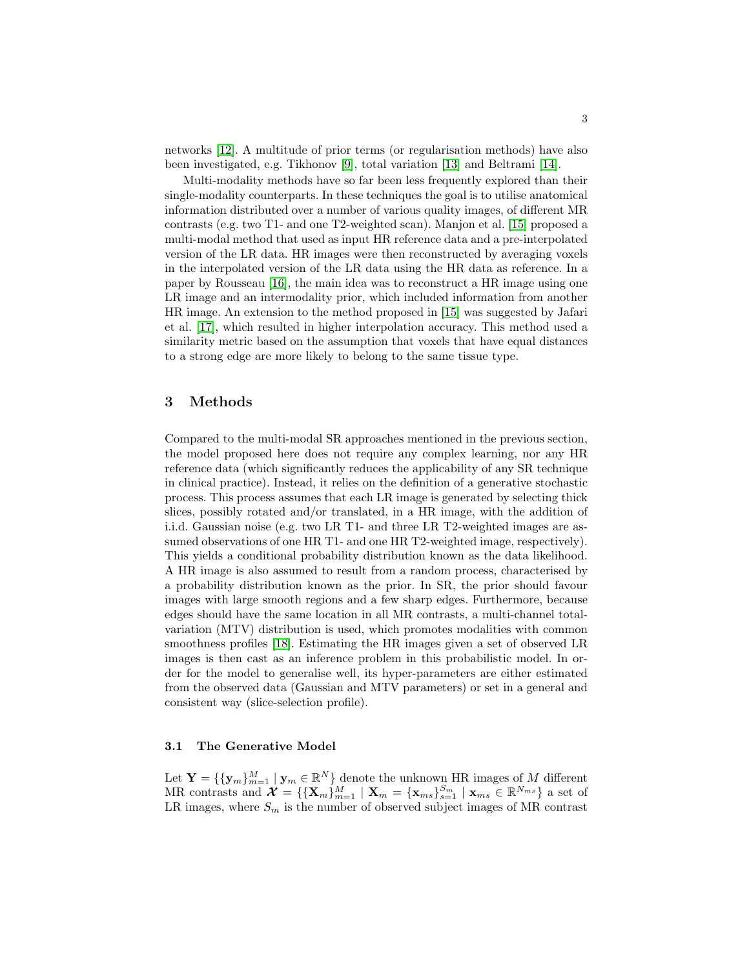networks [\[12\]](#page-11-11). A multitude of prior terms (or regularisation methods) have also been investigated, e.g. Tikhonov [\[9\]](#page-11-8), total variation [\[13\]](#page-11-12) and Beltrami [\[14\]](#page-11-13).

Multi-modality methods have so far been less frequently explored than their single-modality counterparts. In these techniques the goal is to utilise anatomical information distributed over a number of various quality images, of different MR contrasts (e.g. two T1- and one T2-weighted scan). Manjon et al. [\[15\]](#page-11-14) proposed a multi-modal method that used as input HR reference data and a pre-interpolated version of the LR data. HR images were then reconstructed by averaging voxels in the interpolated version of the LR data using the HR data as reference. In a paper by Rousseau [\[16\]](#page-11-15), the main idea was to reconstruct a HR image using one LR image and an intermodality prior, which included information from another HR image. An extension to the method proposed in [\[15\]](#page-11-14) was suggested by Jafari et al. [\[17\]](#page-11-16), which resulted in higher interpolation accuracy. This method used a similarity metric based on the assumption that voxels that have equal distances to a strong edge are more likely to belong to the same tissue type.

# 3 Methods

Compared to the multi-modal SR approaches mentioned in the previous section, the model proposed here does not require any complex learning, nor any HR reference data (which significantly reduces the applicability of any SR technique in clinical practice). Instead, it relies on the definition of a generative stochastic process. This process assumes that each LR image is generated by selecting thick slices, possibly rotated and/or translated, in a HR image, with the addition of i.i.d. Gaussian noise (e.g. two LR T1- and three LR T2-weighted images are assumed observations of one HR T1- and one HR T2-weighted image, respectively). This yields a conditional probability distribution known as the data likelihood. A HR image is also assumed to result from a random process, characterised by a probability distribution known as the prior. In SR, the prior should favour images with large smooth regions and a few sharp edges. Furthermore, because edges should have the same location in all MR contrasts, a multi-channel totalvariation (MTV) distribution is used, which promotes modalities with common smoothness profiles [\[18\]](#page-11-17). Estimating the HR images given a set of observed LR images is then cast as an inference problem in this probabilistic model. In order for the model to generalise well, its hyper-parameters are either estimated from the observed data (Gaussian and MTV parameters) or set in a general and consistent way (slice-selection profile).

### 3.1 The Generative Model

Let  $\mathbf{Y} = \{\{\mathbf{y}_m\}_{m=1}^M | \mathbf{y}_m \in \mathbb{R}^N\}$  denote the unknown HR images of M different MR contrasts and  $\mathcal{X} = \{ {\mathbf{X}_m}_{m=1}^M \mid {\mathbf{X}_m} = {\mathbf{x}_{ms}}\}_{s=1}^{S_m} \mid {\mathbf{x}_{ms}} \in \mathbb{R}^{N_{ms}} \}$  a set of LR images, where  $S_m$  is the number of observed subject images of MR contrast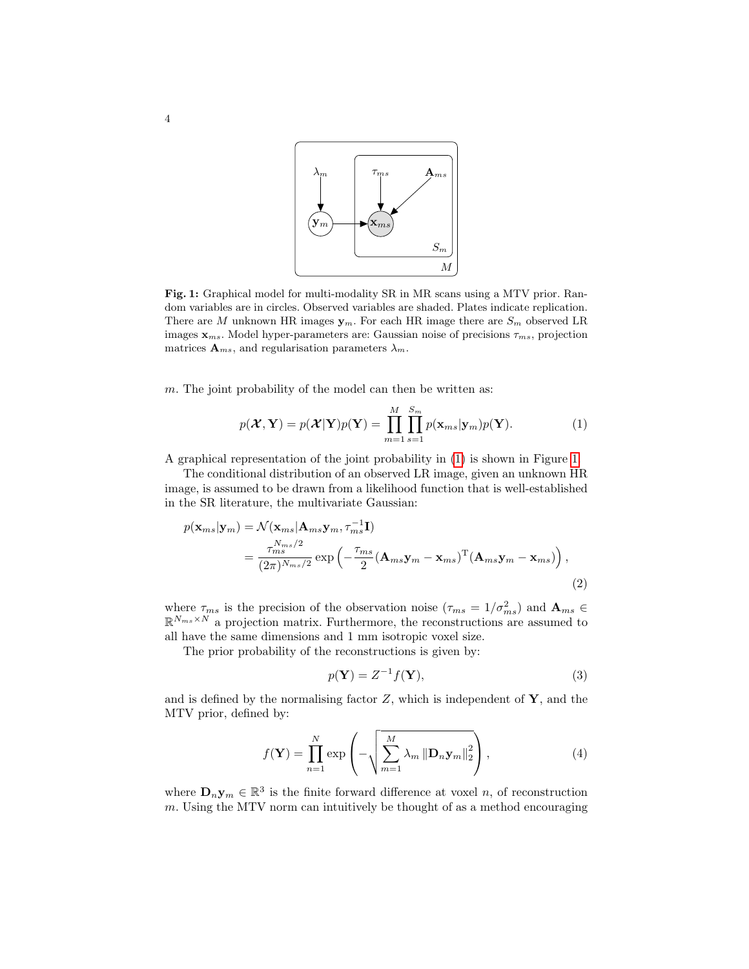<span id="page-3-1"></span>

Fig. 1: Graphical model for multi-modality SR in MR scans using a MTV prior. Random variables are in circles. Observed variables are shaded. Plates indicate replication. There are  $M$  unknown HR images  $y_m$ . For each HR image there are  $S_m$  observed LR images  $\mathbf{x}_{ms}$ . Model hyper-parameters are: Gaussian noise of precisions  $\tau_{ms}$ , projection matrices  $\mathbf{A}_{ms}$ , and regularisation parameters  $\lambda_m$ .

 $m$ . The joint probability of the model can then be written as:

<span id="page-3-0"></span>
$$
p(\mathcal{X}, \mathbf{Y}) = p(\mathcal{X}|\mathbf{Y})p(\mathbf{Y}) = \prod_{m=1}^{M} \prod_{s=1}^{S_m} p(\mathbf{x}_{ms}|\mathbf{y}_m)p(\mathbf{Y}).
$$
 (1)

A graphical representation of the joint probability in [\(1\)](#page-3-0) is shown in Figure [1.](#page-3-1)

The conditional distribution of an observed LR image, given an unknown HR image, is assumed to be drawn from a likelihood function that is well-established in the SR literature, the multivariate Gaussian:

$$
p(\mathbf{x}_{ms}|\mathbf{y}_{m}) = \mathcal{N}(\mathbf{x}_{ms}|\mathbf{A}_{ms}\mathbf{y}_{m}, \tau_{ms}^{-1}\mathbf{I})
$$
  
= 
$$
\frac{\tau_{ms}^{N_{ms}/2}}{(2\pi)^{N_{ms}/2}} \exp\left(-\frac{\tau_{ms}}{2}(\mathbf{A}_{ms}\mathbf{y}_{m} - \mathbf{x}_{ms})^{\mathrm{T}}(\mathbf{A}_{ms}\mathbf{y}_{m} - \mathbf{x}_{ms})\right),
$$
 (2)

where  $\tau_{ms}$  is the precision of the observation noise  $(\tau_{ms} = 1/\sigma_{ms}^2)$  and  $\mathbf{A}_{ms} \in$  $\mathbb{R}^{N_{ms}\times N}$  a projection matrix. Furthermore, the reconstructions are assumed to all have the same dimensions and 1 mm isotropic voxel size.

The prior probability of the reconstructions is given by:

<span id="page-3-3"></span><span id="page-3-2"></span>
$$
p(\mathbf{Y}) = Z^{-1} f(\mathbf{Y}),\tag{3}
$$

and is defined by the normalising factor  $Z$ , which is independent of  $Y$ , and the MTV prior, defined by:

$$
f(\mathbf{Y}) = \prod_{n=1}^{N} \exp\left(-\sqrt{\sum_{m=1}^{M} \lambda_m \left\|\mathbf{D}_n \mathbf{y}_m\right\|_2^2}\right),\tag{4}
$$

where  $\mathbf{D}_n \mathbf{y}_m \in \mathbb{R}^3$  is the finite forward difference at voxel n, of reconstruction  $m$ . Using the MTV norm can intuitively be thought of as a method encouraging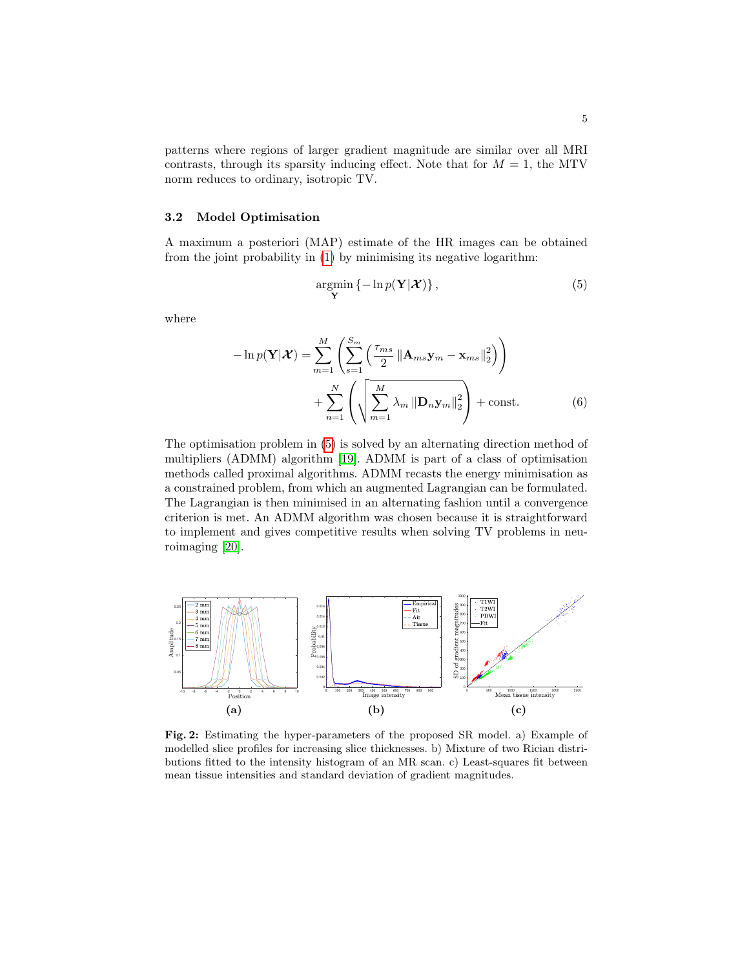patterns where regions of larger gradient magnitude are similar over all MRI contrasts, through its sparsity inducing effect. Note that for  $M = 1$ , the MTV norm reduces to ordinary, isotropic TV.

### 3.2 Model Optimisation

A maximum a posteriori (MAP) estimate of the HR images can be obtained from the joint probability in [\(1\)](#page-3-0) by minimising its negative logarithm:

<span id="page-4-0"></span>
$$
\underset{\mathbf{Y}}{\operatorname{argmin}}\left\{-\ln p(\mathbf{Y}|\boldsymbol{\mathcal{X}})\right\},\tag{5}
$$

where

$$
-\ln p(\mathbf{Y}|\boldsymbol{\mathcal{X}}) = \sum_{m=1}^{M} \left( \sum_{s=1}^{S_m} \left( \frac{\tau_{ms}}{2} \left\| \mathbf{A}_{ms} \mathbf{y}_m - \mathbf{x}_{ms} \right\|_2^2 \right) \right) + \sum_{n=1}^{N} \left( \sqrt{\sum_{m=1}^{M} \lambda_m \left\| \mathbf{D}_n \mathbf{y}_m \right\|_2^2} \right) + \text{const.}
$$
 (6)

The optimisation problem in [\(5\)](#page-4-0) is solved by an alternating direction method of multipliers (ADMM) algorithm [\[19\]](#page-11-18). ADMM is part of a class of optimisation methods called proximal algorithms. ADMM recasts the energy minimisation as a constrained problem, from which an augmented Lagrangian can be formulated. The Lagrangian is then minimised in an alternating fashion until a convergence criterion is met. An ADMM algorithm was chosen because it is straightforward to implement and gives competitive results when solving TV problems in neuroimaging [\[20\]](#page-12-0).

<span id="page-4-1"></span>

Fig. 2: Estimating the hyper-parameters of the proposed SR model. a) Example of modelled slice profiles for increasing slice thicknesses. b) Mixture of two Rician distributions fitted to the intensity histogram of an MR scan. c) Least-squares fit between mean tissue intensities and standard deviation of gradient magnitudes.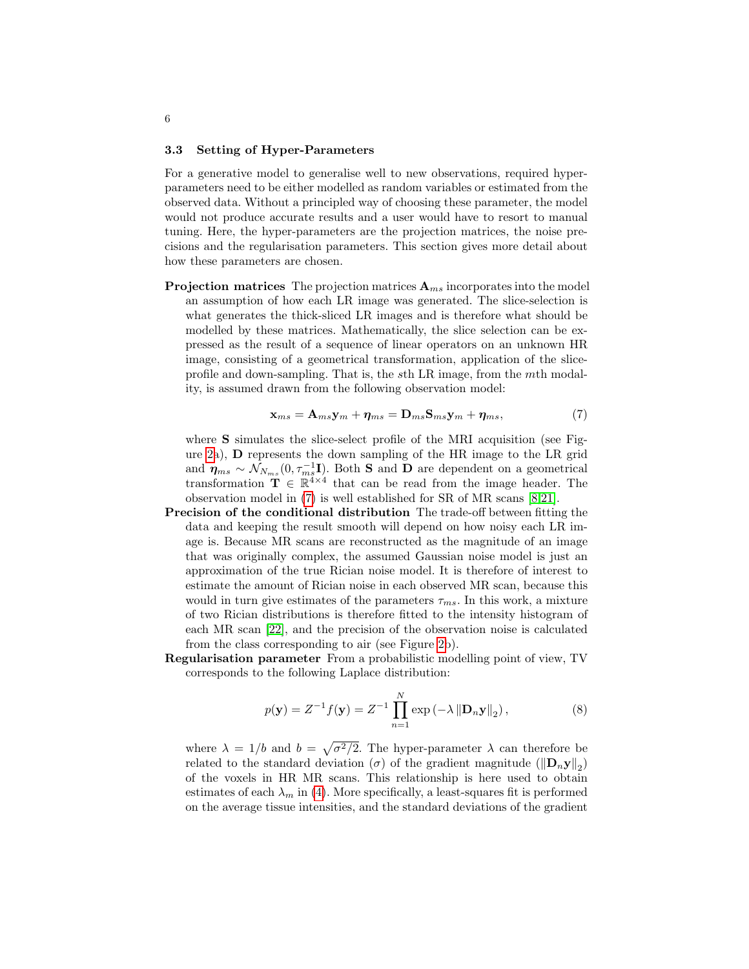#### 3.3 Setting of Hyper-Parameters

For a generative model to generalise well to new observations, required hyperparameters need to be either modelled as random variables or estimated from the observed data. Without a principled way of choosing these parameter, the model would not produce accurate results and a user would have to resort to manual tuning. Here, the hyper-parameters are the projection matrices, the noise precisions and the regularisation parameters. This section gives more detail about how these parameters are chosen.

**Projection matrices** The projection matrices  $A_{ms}$  incorporates into the model an assumption of how each LR image was generated. The slice-selection is what generates the thick-sliced LR images and is therefore what should be modelled by these matrices. Mathematically, the slice selection can be expressed as the result of a sequence of linear operators on an unknown HR image, consisting of a geometrical transformation, application of the sliceprofile and down-sampling. That is, the sth LR image, from the mth modality, is assumed drawn from the following observation model:

<span id="page-5-0"></span>
$$
\mathbf{x}_{ms} = \mathbf{A}_{ms}\mathbf{y}_m + \boldsymbol{\eta}_{ms} = \mathbf{D}_{ms}\mathbf{S}_{ms}\mathbf{y}_m + \boldsymbol{\eta}_{ms},\tag{7}
$$

where **S** simulates the slice-select profile of the MRI acquisition (see Figure [2a](#page-4-1)), D represents the down sampling of the HR image to the LR grid and  $\eta_{ms} \sim \mathcal{N}_{N_{ms}}(0, \tau_{ms}^{-1}I)$ . Both S and D are dependent on a geometrical transformation  $\mathbf{T} \in \mathbb{R}^{4 \times 4}$  that can be read from the image header. The observation model in [\(7\)](#page-5-0) is well established for SR of MR scans [\[8,](#page-11-7)[21\]](#page-12-1).

- Precision of the conditional distribution The trade-off between fitting the data and keeping the result smooth will depend on how noisy each LR image is. Because MR scans are reconstructed as the magnitude of an image that was originally complex, the assumed Gaussian noise model is just an approximation of the true Rician noise model. It is therefore of interest to estimate the amount of Rician noise in each observed MR scan, because this would in turn give estimates of the parameters  $\tau_{ms}$ . In this work, a mixture of two Rician distributions is therefore fitted to the intensity histogram of each MR scan [\[22\]](#page-12-2), and the precision of the observation noise is calculated from the class corresponding to air (see Figure [2b](#page-4-1)).
- Regularisation parameter From a probabilistic modelling point of view, TV corresponds to the following Laplace distribution:

$$
p(\mathbf{y}) = Z^{-1} f(\mathbf{y}) = Z^{-1} \prod_{n=1}^{N} \exp(-\lambda \left\| \mathbf{D}_n \mathbf{y} \right\|_2), \tag{8}
$$

where  $\lambda = 1/b$  and  $b = \sqrt{\sigma^2/2}$ . The hyper-parameter  $\lambda$  can therefore be related to the standard deviation  $(\sigma)$  of the gradient magnitude  $(\|\mathbf{D}_n\mathbf{y}\|_2)$ of the voxels in HR MR scans. This relationship is here used to obtain estimates of each  $\lambda_m$  in [\(4\)](#page-3-2). More specifically, a least-squares fit is performed on the average tissue intensities, and the standard deviations of the gradient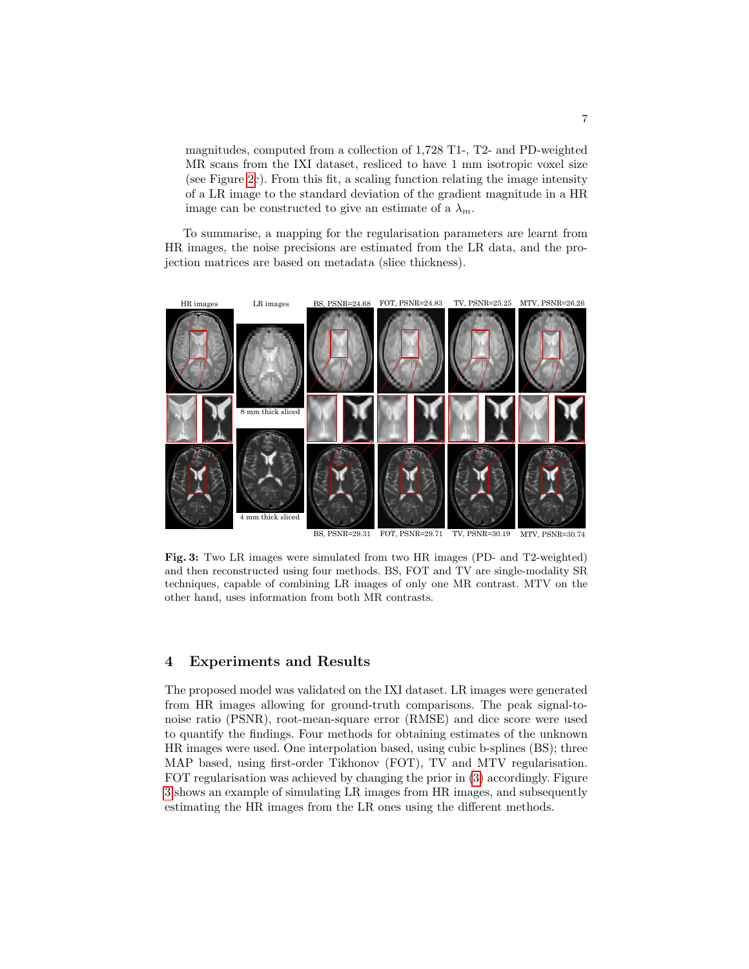magnitudes, computed from a collection of 1,728 T1-, T2- and PD-weighted MR scans from the IXI dataset, resliced to have 1 mm isotropic voxel size (see Figure [2c](#page-4-1)). From this fit, a scaling function relating the image intensity of a LR image to the standard deviation of the gradient magnitude in a HR image can be constructed to give an estimate of a  $\lambda_m$ .

To summarise, a mapping for the regularisation parameters are learnt from HR images, the noise precisions are estimated from the LR data, and the projection matrices are based on metadata (slice thickness).

<span id="page-6-0"></span>

Fig. 3: Two LR images were simulated from two HR images (PD- and T2-weighted) and then reconstructed using four methods. BS, FOT and TV are single-modality SR techniques, capable of combining LR images of only one MR contrast. MTV on the other hand, uses information from both MR contrasts.

# 4 Experiments and Results

The proposed model was validated on the IXI dataset. LR images were generated from HR images allowing for ground-truth comparisons. The peak signal-tonoise ratio (PSNR), root-mean-square error (RMSE) and dice score were used to quantify the findings. Four methods for obtaining estimates of the unknown HR images were used. One interpolation based, using cubic b-splines (BS); three MAP based, using first-order Tikhonov (FOT), TV and MTV regularisation. FOT regularisation was achieved by changing the prior in [\(3\)](#page-3-3) accordingly. Figure [3](#page-6-0) shows an example of simulating LR images from HR images, and subsequently estimating the HR images from the LR ones using the different methods.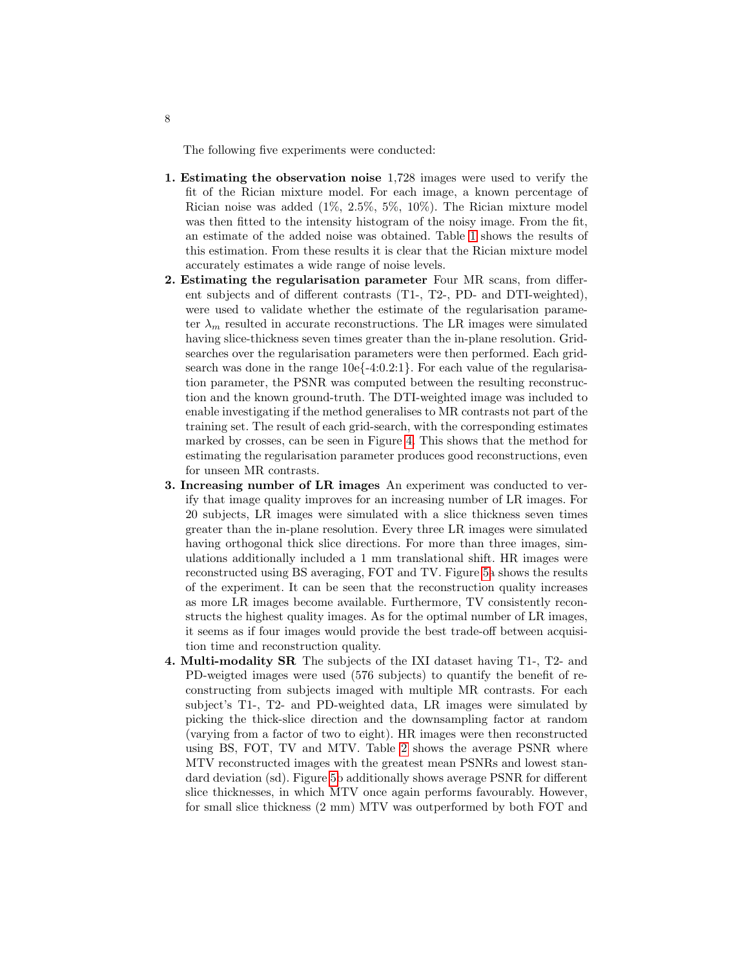The following five experiments were conducted:

- 1. Estimating the observation noise 1,728 images were used to verify the fit of the Rician mixture model. For each image, a known percentage of Rician noise was added (1%, 2.5%, 5%, 10%). The Rician mixture model was then fitted to the intensity histogram of the noisy image. From the fit, an estimate of the added noise was obtained. Table [1](#page-8-0) shows the results of this estimation. From these results it is clear that the Rician mixture model accurately estimates a wide range of noise levels.
- 2. Estimating the regularisation parameter Four MR scans, from different subjects and of different contrasts (T1-, T2-, PD- and DTI-weighted), were used to validate whether the estimate of the regularisation parameter  $\lambda_m$  resulted in accurate reconstructions. The LR images were simulated having slice-thickness seven times greater than the in-plane resolution. Gridsearches over the regularisation parameters were then performed. Each gridsearch was done in the range  $10e{-}4:0.2:1$ . For each value of the regularisation parameter, the PSNR was computed between the resulting reconstruction and the known ground-truth. The DTI-weighted image was included to enable investigating if the method generalises to MR contrasts not part of the training set. The result of each grid-search, with the corresponding estimates marked by crosses, can be seen in Figure [4.](#page-8-1) This shows that the method for estimating the regularisation parameter produces good reconstructions, even for unseen MR contrasts.
- 3. Increasing number of LR images An experiment was conducted to verify that image quality improves for an increasing number of LR images. For 20 subjects, LR images were simulated with a slice thickness seven times greater than the in-plane resolution. Every three LR images were simulated having orthogonal thick slice directions. For more than three images, simulations additionally included a 1 mm translational shift. HR images were reconstructed using BS averaging, FOT and TV. Figure [5a](#page-9-0) shows the results of the experiment. It can be seen that the reconstruction quality increases as more LR images become available. Furthermore, TV consistently reconstructs the highest quality images. As for the optimal number of LR images, it seems as if four images would provide the best trade-off between acquisition time and reconstruction quality.
- 4. Multi-modality SR The subjects of the IXI dataset having T1-, T2- and PD-weigted images were used (576 subjects) to quantify the benefit of reconstructing from subjects imaged with multiple MR contrasts. For each subject's T1-, T2- and PD-weighted data, LR images were simulated by picking the thick-slice direction and the downsampling factor at random (varying from a factor of two to eight). HR images were then reconstructed using BS, FOT, TV and MTV. Table [2](#page-9-1) shows the average PSNR where MTV reconstructed images with the greatest mean PSNRs and lowest standard deviation (sd). Figure [5b](#page-9-0) additionally shows average PSNR for different slice thicknesses, in which MTV once again performs favourably. However, for small slice thickness (2 mm) MTV was outperformed by both FOT and

8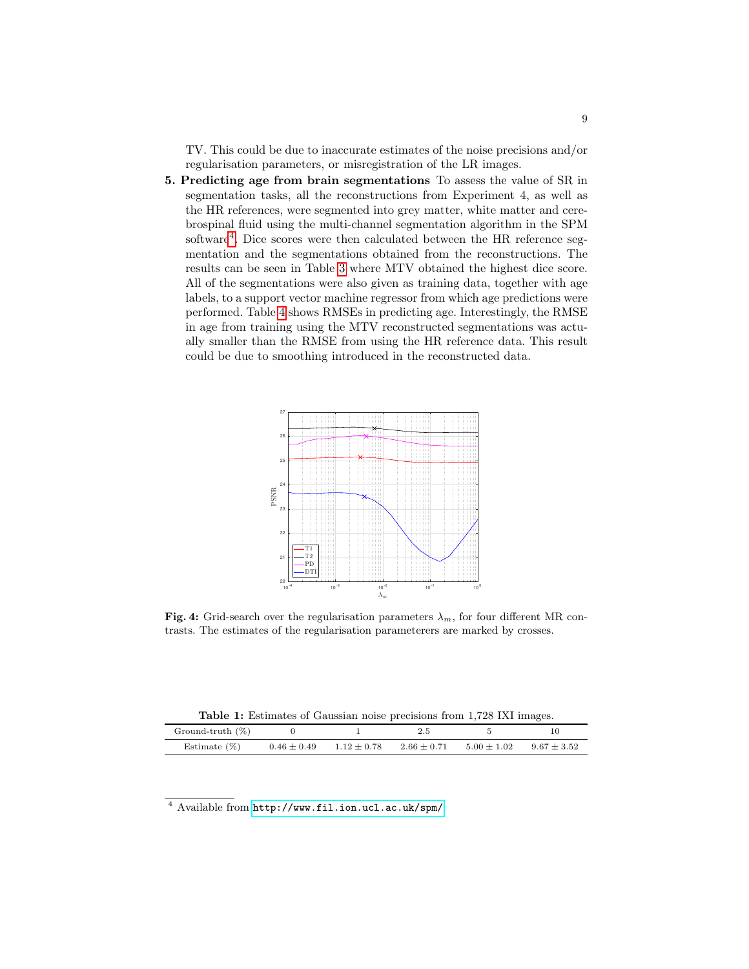TV. This could be due to inaccurate estimates of the noise precisions and/or regularisation parameters, or misregistration of the LR images.

5. Predicting age from brain segmentations To assess the value of SR in segmentation tasks, all the reconstructions from Experiment 4, as well as the HR references, were segmented into grey matter, white matter and cerebrospinal fluid using the multi-channel segmentation algorithm in the SPM software<sup>[4](#page-8-2)</sup>. Dice scores were then calculated between the HR reference segmentation and the segmentations obtained from the reconstructions. The results can be seen in Table [3](#page-9-2) where MTV obtained the highest dice score. All of the segmentations were also given as training data, together with age labels, to a support vector machine regressor from which age predictions were performed. Table [4](#page-9-3) shows RMSEs in predicting age. Interestingly, the RMSE in age from training using the MTV reconstructed segmentations was actually smaller than the RMSE from using the HR reference data. This result could be due to smoothing introduced in the reconstructed data.

<span id="page-8-1"></span>

Fig. 4: Grid-search over the regularisation parameters  $\lambda_m$ , for four different MR contrasts. The estimates of the regularisation parameterers are marked by crosses.

<span id="page-8-0"></span>

| Ground-truth $(\%)$ |                 |                 |                 |                 |                 |
|---------------------|-----------------|-----------------|-----------------|-----------------|-----------------|
| Estimate $(\%)$     | $0.46 \pm 0.49$ | $1.12 \pm 0.78$ | $2.66 \pm 0.71$ | $5.00 \pm 1.02$ | $9.67 \pm 3.52$ |

<span id="page-8-2"></span><sup>4</sup> Available from <http://www.fil.ion.ucl.ac.uk/spm/>.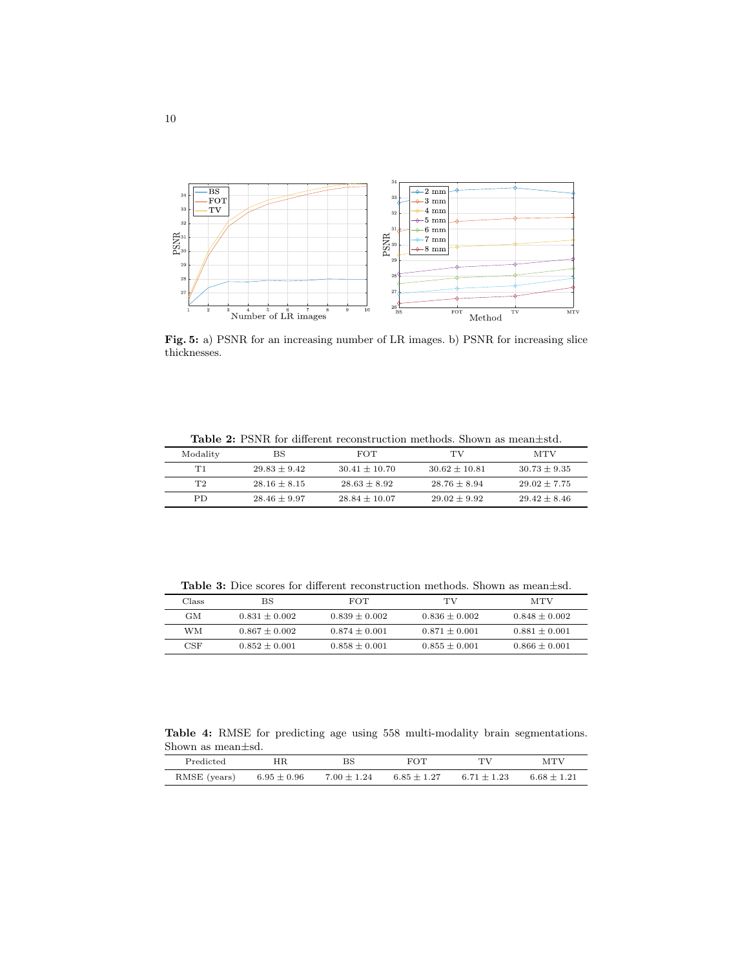<span id="page-9-0"></span>

Fig. 5: a) PSNR for an increasing number of LR images. b) PSNR for increasing slice thicknesses.

<span id="page-9-1"></span>

| <b>Table 2:</b> PSNR for different reconstruction methods. Shown as mean $\pm$ std. |  |
|-------------------------------------------------------------------------------------|--|
|-------------------------------------------------------------------------------------|--|

| Modality | BS             | FOT.            | тv              | MTV              |
|----------|----------------|-----------------|-----------------|------------------|
| T 1      | $29.83 + 9.42$ | $30.41 + 10.70$ | $30.62 + 10.81$ | $30.73 + 9.35$   |
| T2       | $28.16 + 8.15$ | $28.63 + 8.92$  | $28.76 + 8.94$  | $29.02 \pm 7.75$ |
| РD       | $28.46 + 9.97$ | $28.84 + 10.07$ | $29.02 + 9.92$  | $29.42 + 8.46$   |

<span id="page-9-2"></span>Table 3: Dice scores for different reconstruction methods. Shown as mean $\pm$ sd.

| Class | вs              | <b>FOT</b>      | тv                | MTV               |
|-------|-----------------|-----------------|-------------------|-------------------|
| GМ    | $0.831 + 0.002$ | $0.839 + 0.002$ | $0.836 \pm 0.002$ | $0.848 + 0.002$   |
| WМ    | $0.867 + 0.002$ | $0.874 + 0.001$ | $0.871 + 0.001$   | $0.881 + 0.001$   |
| CSF   | $0.852 + 0.001$ | $0.858 + 0.001$ | $0.855 + 0.001$   | $0.866 \pm 0.001$ |

<span id="page-9-3"></span>Table 4: RMSE for predicting age using 558 multi-modality brain segmentations. Shown as mean $\pm{\rm sd.}$ 

| Predicted    | HR.           | ВS              | FOT             | TV              | MTV             |
|--------------|---------------|-----------------|-----------------|-----------------|-----------------|
| RMSE (years) | $6.95\pm0.96$ | $7.00 \pm 1.24$ | $6.85 \pm 1.27$ | $6.71 \pm 1.23$ | $6.68 \pm 1.21$ |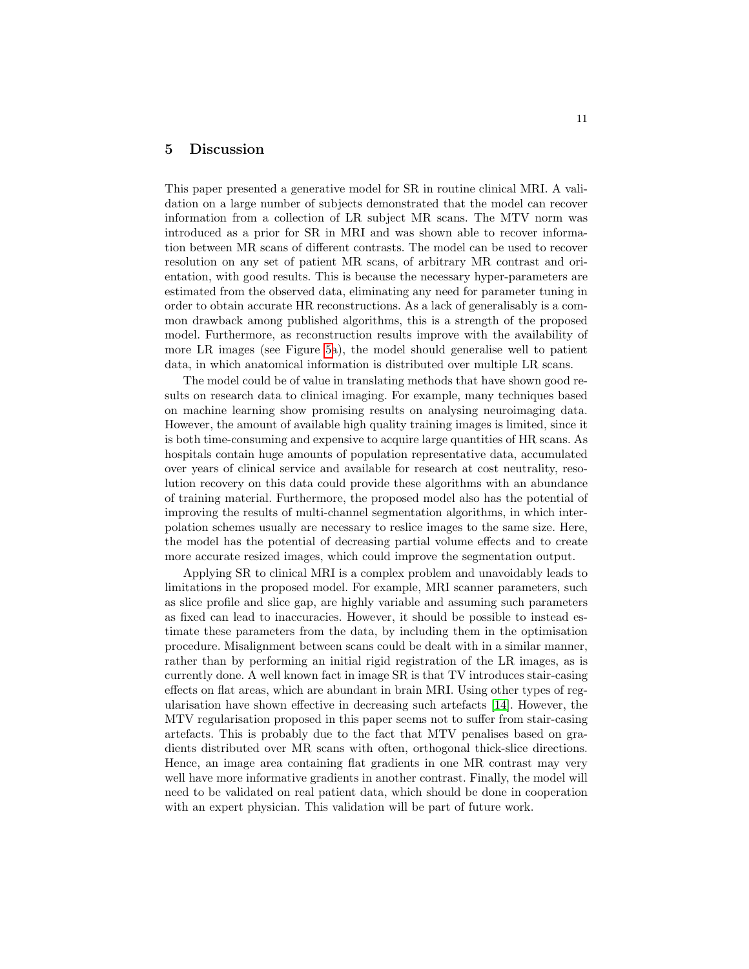### 5 Discussion

This paper presented a generative model for SR in routine clinical MRI. A validation on a large number of subjects demonstrated that the model can recover information from a collection of LR subject MR scans. The MTV norm was introduced as a prior for SR in MRI and was shown able to recover information between MR scans of different contrasts. The model can be used to recover resolution on any set of patient MR scans, of arbitrary MR contrast and orientation, with good results. This is because the necessary hyper-parameters are estimated from the observed data, eliminating any need for parameter tuning in order to obtain accurate HR reconstructions. As a lack of generalisably is a common drawback among published algorithms, this is a strength of the proposed model. Furthermore, as reconstruction results improve with the availability of more LR images (see Figure [5a](#page-9-0)), the model should generalise well to patient data, in which anatomical information is distributed over multiple LR scans.

The model could be of value in translating methods that have shown good results on research data to clinical imaging. For example, many techniques based on machine learning show promising results on analysing neuroimaging data. However, the amount of available high quality training images is limited, since it is both time-consuming and expensive to acquire large quantities of HR scans. As hospitals contain huge amounts of population representative data, accumulated over years of clinical service and available for research at cost neutrality, resolution recovery on this data could provide these algorithms with an abundance of training material. Furthermore, the proposed model also has the potential of improving the results of multi-channel segmentation algorithms, in which interpolation schemes usually are necessary to reslice images to the same size. Here, the model has the potential of decreasing partial volume effects and to create more accurate resized images, which could improve the segmentation output.

Applying SR to clinical MRI is a complex problem and unavoidably leads to limitations in the proposed model. For example, MRI scanner parameters, such as slice profile and slice gap, are highly variable and assuming such parameters as fixed can lead to inaccuracies. However, it should be possible to instead estimate these parameters from the data, by including them in the optimisation procedure. Misalignment between scans could be dealt with in a similar manner, rather than by performing an initial rigid registration of the LR images, as is currently done. A well known fact in image SR is that TV introduces stair-casing effects on flat areas, which are abundant in brain MRI. Using other types of regularisation have shown effective in decreasing such artefacts [\[14\]](#page-11-13). However, the MTV regularisation proposed in this paper seems not to suffer from stair-casing artefacts. This is probably due to the fact that MTV penalises based on gradients distributed over MR scans with often, orthogonal thick-slice directions. Hence, an image area containing flat gradients in one MR contrast may very well have more informative gradients in another contrast. Finally, the model will need to be validated on real patient data, which should be done in cooperation with an expert physician. This validation will be part of future work.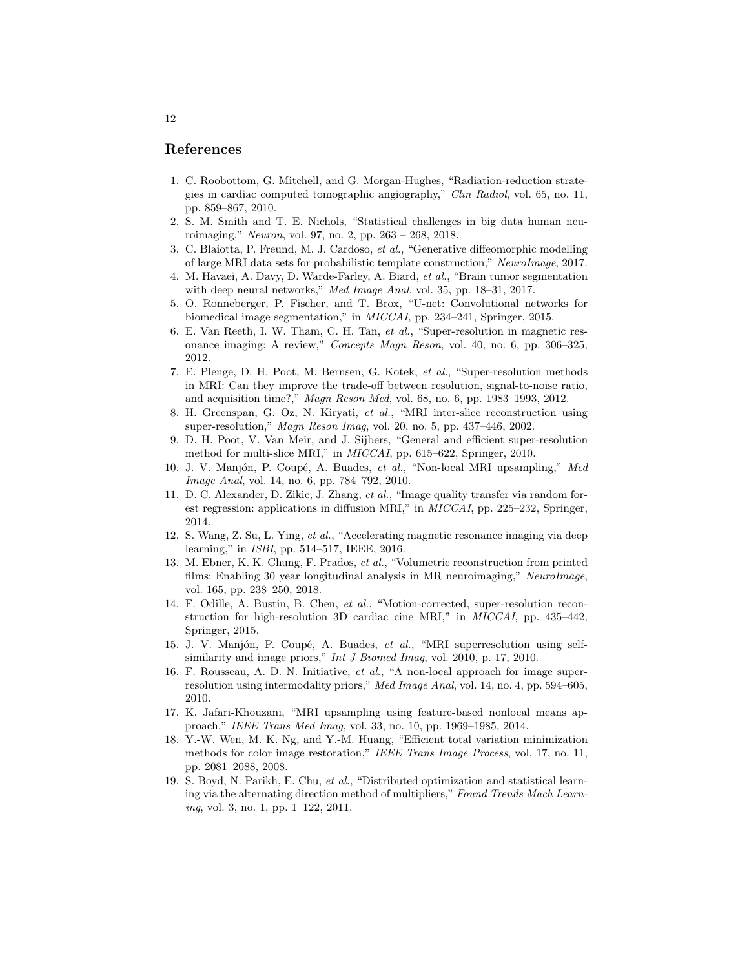### References

- <span id="page-11-0"></span>1. C. Roobottom, G. Mitchell, and G. Morgan-Hughes, "Radiation-reduction strategies in cardiac computed tomographic angiography," Clin Radiol, vol. 65, no. 11, pp. 859–867, 2010.
- <span id="page-11-1"></span>2. S. M. Smith and T. E. Nichols, "Statistical challenges in big data human neuroimaging," Neuron, vol. 97, no. 2, pp. 263 – 268, 2018.
- <span id="page-11-2"></span>3. C. Blaiotta, P. Freund, M. J. Cardoso, et al., "Generative diffeomorphic modelling of large MRI data sets for probabilistic template construction," NeuroImage, 2017.
- <span id="page-11-3"></span>4. M. Havaei, A. Davy, D. Warde-Farley, A. Biard, et al., "Brain tumor segmentation with deep neural networks," Med Image Anal, vol. 35, pp. 18–31, 2017.
- <span id="page-11-4"></span>5. O. Ronneberger, P. Fischer, and T. Brox, "U-net: Convolutional networks for biomedical image segmentation," in MICCAI, pp. 234–241, Springer, 2015.
- <span id="page-11-5"></span>6. E. Van Reeth, I. W. Tham, C. H. Tan, et al., "Super-resolution in magnetic resonance imaging: A review," Concepts Magn Reson, vol. 40, no. 6, pp. 306–325, 2012.
- <span id="page-11-6"></span>7. E. Plenge, D. H. Poot, M. Bernsen, G. Kotek, et al., "Super-resolution methods in MRI: Can they improve the trade-off between resolution, signal-to-noise ratio, and acquisition time?," Magn Reson Med, vol. 68, no. 6, pp. 1983–1993, 2012.
- <span id="page-11-7"></span>8. H. Greenspan, G. Oz, N. Kiryati, et al., "MRI inter-slice reconstruction using super-resolution," Magn Reson Imag, vol. 20, no. 5, pp. 437–446, 2002.
- <span id="page-11-8"></span>9. D. H. Poot, V. Van Meir, and J. Sijbers, "General and efficient super-resolution method for multi-slice MRI," in MICCAI, pp. 615–622, Springer, 2010.
- <span id="page-11-9"></span>10. J. V. Manjón, P. Coupé, A. Buades, et al., "Non-local MRI upsampling," Med Image Anal, vol. 14, no. 6, pp. 784–792, 2010.
- <span id="page-11-10"></span>11. D. C. Alexander, D. Zikic, J. Zhang, et al., "Image quality transfer via random forest regression: applications in diffusion MRI," in MICCAI, pp. 225–232, Springer, 2014.
- <span id="page-11-11"></span>12. S. Wang, Z. Su, L. Ying, et al., "Accelerating magnetic resonance imaging via deep learning," in ISBI, pp. 514–517, IEEE, 2016.
- <span id="page-11-12"></span>13. M. Ebner, K. K. Chung, F. Prados, et al., "Volumetric reconstruction from printed films: Enabling 30 year longitudinal analysis in MR neuroimaging," NeuroImage, vol. 165, pp. 238–250, 2018.
- <span id="page-11-13"></span>14. F. Odille, A. Bustin, B. Chen, et al., "Motion-corrected, super-resolution reconstruction for high-resolution 3D cardiac cine MRI," in MICCAI, pp. 435–442, Springer, 2015.
- <span id="page-11-14"></span>15. J. V. Manjón, P. Coupé, A. Buades, et al., "MRI superresolution using selfsimilarity and image priors," Int J Biomed Imag, vol. 2010, p. 17, 2010.
- <span id="page-11-15"></span>16. F. Rousseau, A. D. N. Initiative, et al., "A non-local approach for image superresolution using intermodality priors," Med Image Anal, vol. 14, no. 4, pp. 594–605, 2010.
- <span id="page-11-16"></span>17. K. Jafari-Khouzani, "MRI upsampling using feature-based nonlocal means approach," IEEE Trans Med Imag, vol. 33, no. 10, pp. 1969–1985, 2014.
- <span id="page-11-17"></span>18. Y.-W. Wen, M. K. Ng, and Y.-M. Huang, "Efficient total variation minimization methods for color image restoration," IEEE Trans Image Process, vol. 17, no. 11, pp. 2081–2088, 2008.
- <span id="page-11-18"></span>19. S. Boyd, N. Parikh, E. Chu, et al., "Distributed optimization and statistical learning via the alternating direction method of multipliers," Found Trends Mach Learning, vol. 3, no. 1, pp. 1–122, 2011.

### 12